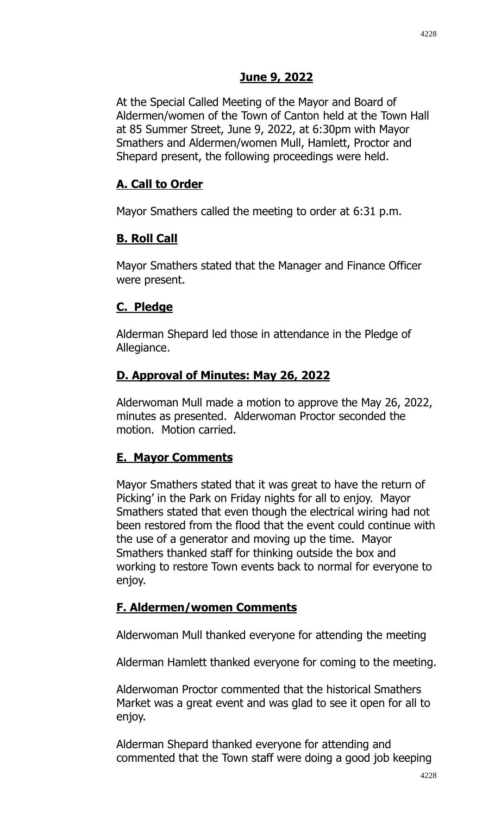### **June 9, 2022**

At the Special Called Meeting of the Mayor and Board of Aldermen/women of the Town of Canton held at the Town Hall at 85 Summer Street, June 9, 2022, at 6:30pm with Mayor Smathers and Aldermen/women Mull, Hamlett, Proctor and Shepard present, the following proceedings were held.

# **A. Call to Order**

Mayor Smathers called the meeting to order at 6:31 p.m.

# **B. Roll Call**

Mayor Smathers stated that the Manager and Finance Officer were present.

# **C. Pledge**

Alderman Shepard led those in attendance in the Pledge of Allegiance.

# **D. Approval of Minutes: May 26, 2022**

Alderwoman Mull made a motion to approve the May 26, 2022, minutes as presented. Alderwoman Proctor seconded the motion. Motion carried.

# **E. Mayor Comments**

Mayor Smathers stated that it was great to have the return of Picking' in the Park on Friday nights for all to enjoy. Mayor Smathers stated that even though the electrical wiring had not been restored from the flood that the event could continue with the use of a generator and moving up the time. Mayor Smathers thanked staff for thinking outside the box and working to restore Town events back to normal for everyone to enjoy.

# **F. Aldermen/women Comments**

Alderwoman Mull thanked everyone for attending the meeting

Alderman Hamlett thanked everyone for coming to the meeting.

Alderwoman Proctor commented that the historical Smathers Market was a great event and was glad to see it open for all to enjoy.

Alderman Shepard thanked everyone for attending and commented that the Town staff were doing a good job keeping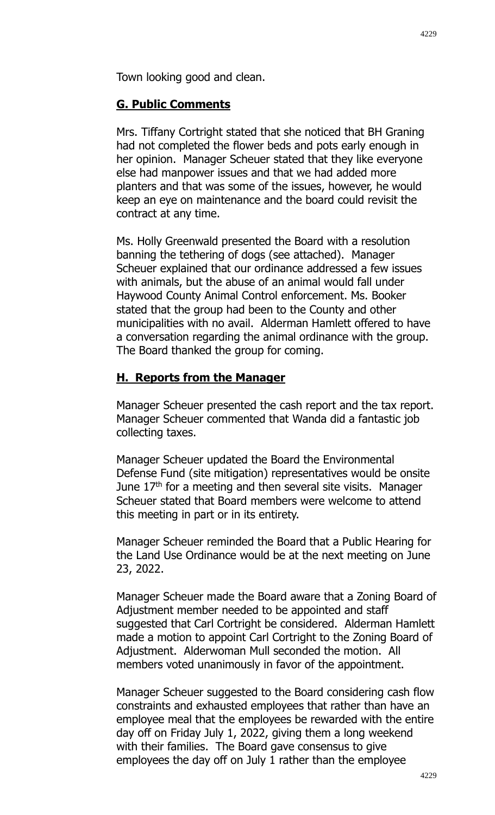### **G. Public Comments**

Mrs. Tiffany Cortright stated that she noticed that BH Graning had not completed the flower beds and pots early enough in her opinion. Manager Scheuer stated that they like everyone else had manpower issues and that we had added more planters and that was some of the issues, however, he would keep an eye on maintenance and the board could revisit the contract at any time.

Ms. Holly Greenwald presented the Board with a resolution banning the tethering of dogs (see attached). Manager Scheuer explained that our ordinance addressed a few issues with animals, but the abuse of an animal would fall under Haywood County Animal Control enforcement. Ms. Booker stated that the group had been to the County and other municipalities with no avail. Alderman Hamlett offered to have a conversation regarding the animal ordinance with the group. The Board thanked the group for coming.

# **H. Reports from the Manager**

Manager Scheuer presented the cash report and the tax report. Manager Scheuer commented that Wanda did a fantastic job collecting taxes.

Manager Scheuer updated the Board the Environmental Defense Fund (site mitigation) representatives would be onsite June  $17<sup>th</sup>$  for a meeting and then several site visits. Manager Scheuer stated that Board members were welcome to attend this meeting in part or in its entirety.

Manager Scheuer reminded the Board that a Public Hearing for the Land Use Ordinance would be at the next meeting on June 23, 2022.

Manager Scheuer made the Board aware that a Zoning Board of Adjustment member needed to be appointed and staff suggested that Carl Cortright be considered. Alderman Hamlett made a motion to appoint Carl Cortright to the Zoning Board of Adjustment. Alderwoman Mull seconded the motion. All members voted unanimously in favor of the appointment.

Manager Scheuer suggested to the Board considering cash flow constraints and exhausted employees that rather than have an employee meal that the employees be rewarded with the entire day off on Friday July 1, 2022, giving them a long weekend with their families. The Board gave consensus to give employees the day off on July 1 rather than the employee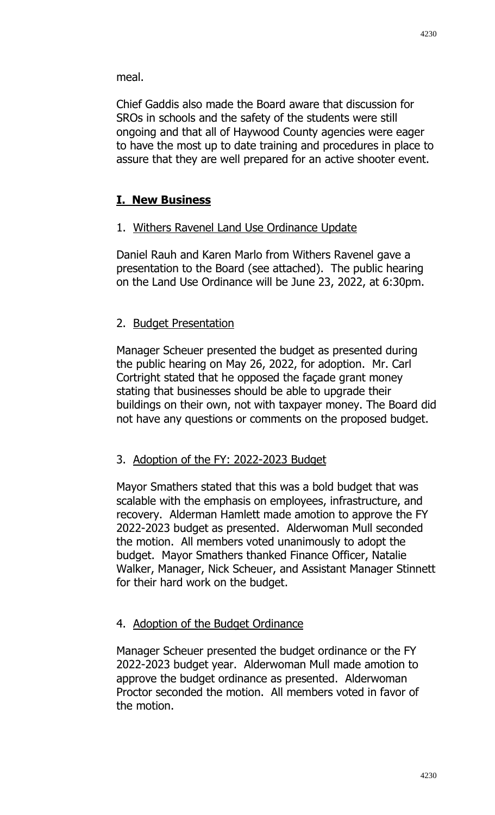meal.

Chief Gaddis also made the Board aware that discussion for SROs in schools and the safety of the students were still ongoing and that all of Haywood County agencies were eager to have the most up to date training and procedures in place to assure that they are well prepared for an active shooter event.

### **I. New Business**

#### 1. Withers Ravenel Land Use Ordinance Update

Daniel Rauh and Karen Marlo from Withers Ravenel gave a presentation to the Board (see attached). The public hearing on the Land Use Ordinance will be June 23, 2022, at 6:30pm.

### 2. Budget Presentation

Manager Scheuer presented the budget as presented during the public hearing on May 26, 2022, for adoption. Mr. Carl Cortright stated that he opposed the façade grant money stating that businesses should be able to upgrade their buildings on their own, not with taxpayer money. The Board did not have any questions or comments on the proposed budget.

### 3. Adoption of the FY: 2022-2023 Budget

Mayor Smathers stated that this was a bold budget that was scalable with the emphasis on employees, infrastructure, and recovery. Alderman Hamlett made amotion to approve the FY 2022-2023 budget as presented. Alderwoman Mull seconded the motion. All members voted unanimously to adopt the budget. Mayor Smathers thanked Finance Officer, Natalie Walker, Manager, Nick Scheuer, and Assistant Manager Stinnett for their hard work on the budget.

#### 4. Adoption of the Budget Ordinance

Manager Scheuer presented the budget ordinance or the FY 2022-2023 budget year. Alderwoman Mull made amotion to approve the budget ordinance as presented. Alderwoman Proctor seconded the motion. All members voted in favor of the motion.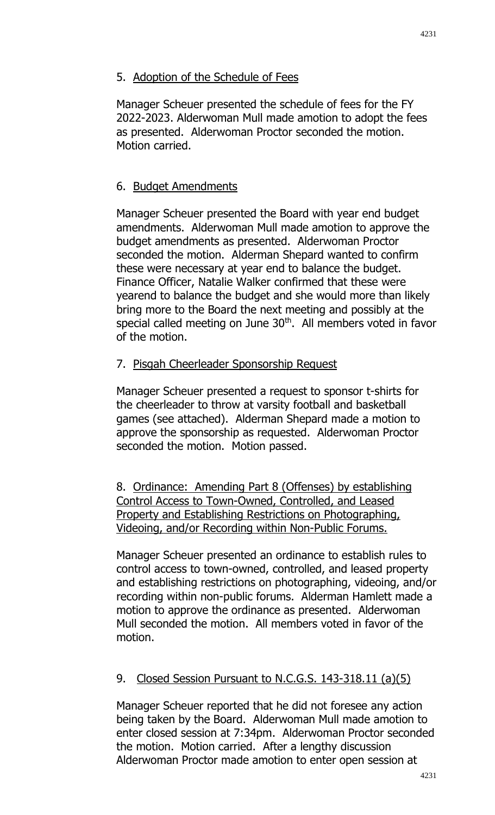### 5. Adoption of the Schedule of Fees

Manager Scheuer presented the schedule of fees for the FY 2022-2023. Alderwoman Mull made amotion to adopt the fees as presented. Alderwoman Proctor seconded the motion. Motion carried.

# 6. Budget Amendments

Manager Scheuer presented the Board with year end budget amendments. Alderwoman Mull made amotion to approve the budget amendments as presented. Alderwoman Proctor seconded the motion. Alderman Shepard wanted to confirm these were necessary at year end to balance the budget. Finance Officer, Natalie Walker confirmed that these were yearend to balance the budget and she would more than likely bring more to the Board the next meeting and possibly at the special called meeting on June 30<sup>th</sup>. All members voted in favor of the motion.

### 7. Pisgah Cheerleader Sponsorship Request

Manager Scheuer presented a request to sponsor t-shirts for the cheerleader to throw at varsity football and basketball games (see attached). Alderman Shepard made a motion to approve the sponsorship as requested. Alderwoman Proctor seconded the motion. Motion passed.

8. Ordinance: Amending Part 8 (Offenses) by establishing Control Access to Town-Owned, Controlled, and Leased Property and Establishing Restrictions on Photographing, Videoing, and/or Recording within Non-Public Forums.

Manager Scheuer presented an ordinance to establish rules to control access to town-owned, controlled, and leased property and establishing restrictions on photographing, videoing, and/or recording within non-public forums. Alderman Hamlett made a motion to approve the ordinance as presented. Alderwoman Mull seconded the motion. All members voted in favor of the motion.

# 9. Closed Session Pursuant to N.C.G.S. 143-318.11 (a)(5)

Manager Scheuer reported that he did not foresee any action being taken by the Board. Alderwoman Mull made amotion to enter closed session at 7:34pm. Alderwoman Proctor seconded the motion. Motion carried. After a lengthy discussion Alderwoman Proctor made amotion to enter open session at